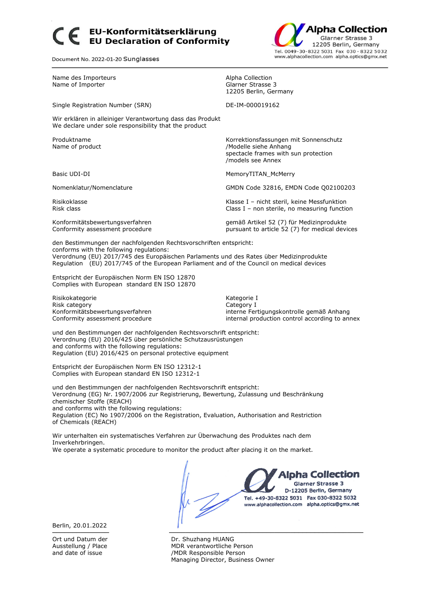## EU-Konformitätserklärung **EU Declaration of Conformity**

Document No. 2022-01-20 Sunglasses



Name des Importeurs and a metal and the Marine Alpha Collection<br>
Name of Importer and a metal and a metal Clarner Strasse 3 Name of Importer 12205 Berlin, Germany Single Registration Number (SRN) DE-IM-000019162 Wir erklären in alleiniger Verantwortung dass das Produkt We declare under sole responsibility that the product Produktname Korrektionsfassungen mit Sonnenschutz Name of product and the state of product and the Modelle siehe Anhang spectacle frames with sun protection /models see Annex Basic UDI-DI **MemoryTITAN\_McMerry** MemoryTITAN\_McMerry Nomenklatur/Nomenclature GMDN Code 32816, EMDN Code Q02100203 Risikoklasse Klasse I – nicht steril, keine Messfunktion Risk class **Class I** – non sterile, no measuring function Konformitätsbewertungsverfahren gemäß Artikel 52 (7) für Medizinprodukte Conformity assessment procedure example and pursuant to article 52 (7) for medical devices

den Bestimmungen der nachfolgenden Rechtsvorschriften entspricht: conforms with the following regulations: Verordnung (EU) 2017/745 des Europäischen Parlaments und des Rates über Medizinprodukte Regulation (EU) 2017/745 of the European Parliament and of the Council on medical devices

Entspricht der Europäischen Norm EN ISO 12870 Complies with European standard EN ISO 12870

Risikokategorie Kategorie I Risk category Category I

Konformitätsbewertungsverfahren interne Fertigungskontrolle gemäß Anhang Conformity assessment procedure internal production control according to annex

und den Bestimmungen der nachfolgenden Rechtsvorschrift entspricht: Verordnung (EU) 2016/425 über persönliche Schutzausrüstungen and conforms with the following regulations: Regulation (EU) 2016/425 on personal protective equipment

Entspricht der Europäischen Norm EN ISO 12312-1 Complies with European standard EN ISO 12312-1

und den Bestimmungen der nachfolgenden Rechtsvorschrift entspricht: Verordnung (EG) Nr. 1907/2006 zur Registrierung, Bewertung, Zulassung und Beschränkung chemischer Stoffe (REACH) and conforms with the following regulations: Regulation (EC) No 1907/2006 on the Registration, Evaluation, Authorisation and Restriction of Chemicals (REACH)

Wir unterhalten ein systematisches Verfahren zur Überwachung des Produktes nach dem Inverkehrbringen.

We operate a systematic procedure to monitor the product after placing it on the market.



Berlin, 20.01.2022

Ort und Datum der **Dr. Shuzhang HUANG**<br>Ausstellung / Place **Dr. Shuzhang HUANG** MDR verantwortliche Person and date of issue  $/MDR$  Responsible Person Managing Director, Business Owner